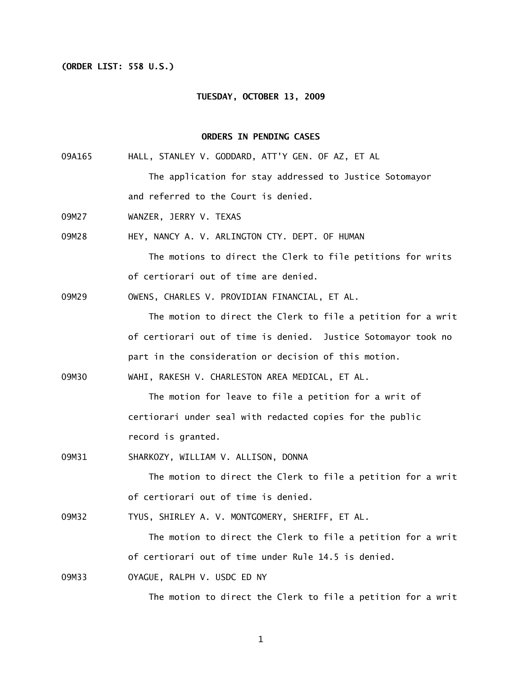# **(ORDER LIST: 558 U.S.)**

#### **TUESDAY, OCTOBER 13, 2009**

### **ORDERS IN PENDING CASES**

- 09A165 HALL, STANLEY V. GODDARD, ATT'Y GEN. OF AZ, ET AL The application for stay addressed to Justice Sotomayor and referred to the Court is denied.
- 09M27 WANZER, JERRY V. TEXAS
- 09M28 HEY, NANCY A. V. ARLINGTON CTY. DEPT. OF HUMAN

 The motions to direct the Clerk to file petitions for writs of certiorari out of time are denied.

09M29 OWENS, CHARLES V. PROVIDIAN FINANCIAL, ET AL.

The motion to direct the Clerk to file a petition for a writ of certiorari out of time is denied. Justice Sotomayor took no part in the consideration or decision of this motion.

09M30 WAHI, RAKESH V. CHARLESTON AREA MEDICAL, ET AL.

The motion for leave to file a petition for a writ of certiorari under seal with redacted copies for the public record is granted.

09M31 SHARKOZY, WILLIAM V. ALLISON, DONNA

The motion to direct the Clerk to file a petition for a writ of certiorari out of time is denied.

09M32 TYUS, SHIRLEY A. V. MONTGOMERY, SHERIFF, ET AL.

The motion to direct the Clerk to file a petition for a writ of certiorari out of time under Rule 14.5 is denied.

09M33 OYAGUE, RALPH V. USDC ED NY

The motion to direct the Clerk to file a petition for a writ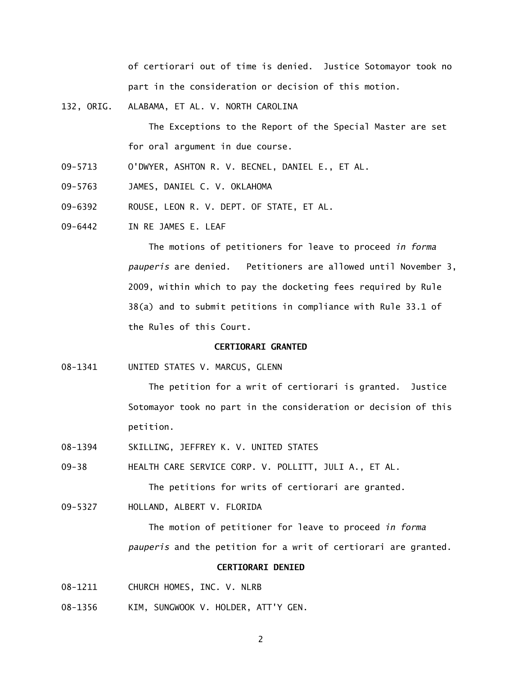of certiorari out of time is denied. Justice Sotomayor took no part in the consideration or decision of this motion.

132, ORIG. ALABAMA, ET AL. V. NORTH CAROLINA

 The Exceptions to the Report of the Special Master are set for oral argument in due course.

- 09-5713 O'DWYER, ASHTON R. V. BECNEL, DANIEL E., ET AL.
- 09-5763 JAMES, DANIEL C. V. OKLAHOMA
- 09-6392 ROUSE, LEON R. V. DEPT. OF STATE, ET AL.
- 09-6442 IN RE JAMES E. LEAF

 The motions of petitioners for leave to proceed *in forma pauperis* are denied. Petitioners are allowed until November 3, 2009, within which to pay the docketing fees required by Rule 38(a) and to submit petitions in compliance with Rule 33.1 of the Rules of this Court.

## **CERTIORARI GRANTED**

08-1341 UNITED STATES V. MARCUS, GLENN

 The petition for a writ of certiorari is granted. Justice Sotomayor took no part in the consideration or decision of this petition.

08-1394 SKILLING, JEFFREY K. V. UNITED STATES

09-38 HEALTH CARE SERVICE CORP. V. POLLITT, JULI A., ET AL.

The petitions for writs of certiorari are granted.

09-5327 HOLLAND, ALBERT V. FLORIDA

 The motion of petitioner for leave to proceed *in forma pauperis* and the petition for a writ of certiorari are granted.

# **CERTIORARI DENIED**

- 08-1211 CHURCH HOMES, INC. V. NLRB
- 08-1356 KIM, SUNGWOOK V. HOLDER, ATT'Y GEN.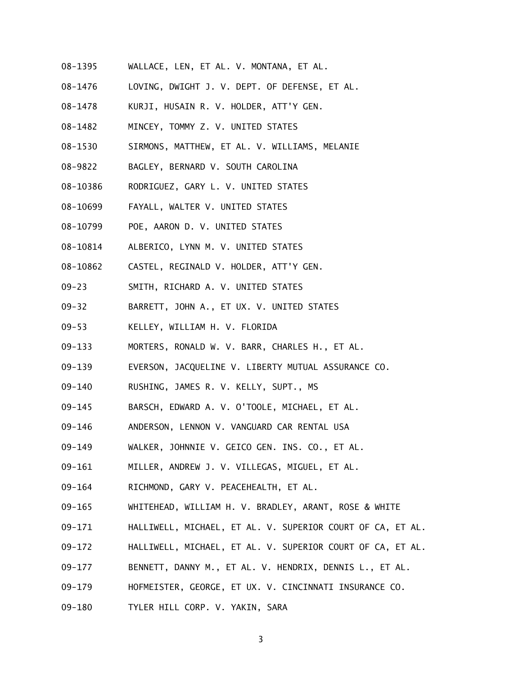- 08-1395 WALLACE, LEN, ET AL. V. MONTANA, ET AL.
- 08-1476 LOVING, DWIGHT J. V. DEPT. OF DEFENSE, ET AL.
- 08-1478 KURJI, HUSAIN R. V. HOLDER, ATT'Y GEN.
- 08-1482 MINCEY, TOMMY Z. V. UNITED STATES
- 08-1530 SIRMONS, MATTHEW, ET AL. V. WILLIAMS, MELANIE
- 08-9822 BAGLEY, BERNARD V. SOUTH CAROLINA
- 08-10386 RODRIGUEZ, GARY L. V. UNITED STATES
- 08-10699 FAYALL, WALTER V. UNITED STATES
- 08-10799 POE, AARON D. V. UNITED STATES
- 08-10814 ALBERICO, LYNN M. V. UNITED STATES
- 08-10862 CASTEL, REGINALD V. HOLDER, ATT'Y GEN.
- 09-23 SMITH, RICHARD A. V. UNITED STATES
- 09-32 BARRETT, JOHN A., ET UX. V. UNITED STATES
- 09-53 KELLEY, WILLIAM H. V. FLORIDA
- 09-133 MORTERS, RONALD W. V. BARR, CHARLES H., ET AL.
- 09-139 EVERSON, JACQUELINE V. LIBERTY MUTUAL ASSURANCE CO.
- 09-140 RUSHING, JAMES R. V. KELLY, SUPT., MS
- 09-145 BARSCH, EDWARD A. V. O'TOOLE, MICHAEL, ET AL.
- 09-146 ANDERSON, LENNON V. VANGUARD CAR RENTAL USA
- 09-149 WALKER, JOHNNIE V. GEICO GEN. INS. CO., ET AL.
- 09-161 MILLER, ANDREW J. V. VILLEGAS, MIGUEL, ET AL.
- 09-164 RICHMOND, GARY V. PEACEHEALTH, ET AL.
- 09-165 WHITEHEAD, WILLIAM H. V. BRADLEY, ARANT, ROSE & WHITE
- 09-171 HALLIWELL, MICHAEL, ET AL. V. SUPERIOR COURT OF CA, ET AL.
- 09-172 HALLIWELL, MICHAEL, ET AL. V. SUPERIOR COURT OF CA, ET AL.
- 09-177 BENNETT, DANNY M., ET AL. V. HENDRIX, DENNIS L., ET AL.
- 09-179 HOFMEISTER, GEORGE, ET UX. V. CINCINNATI INSURANCE CO.
- 09-180 TYLER HILL CORP. V. YAKIN, SARA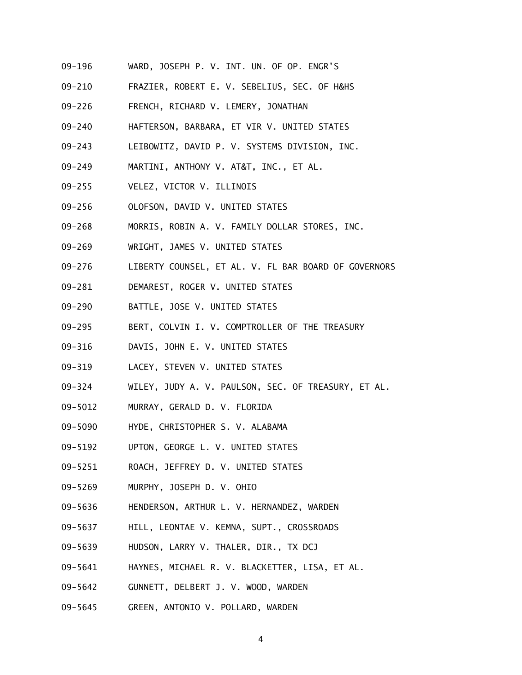- 09-196 WARD, JOSEPH P. V. INT. UN. OF OP. ENGR'S
- 09-210 FRAZIER, ROBERT E. V. SEBELIUS, SEC. OF H&HS
- 09-226 FRENCH, RICHARD V. LEMERY, JONATHAN
- 09-240 HAFTERSON, BARBARA, ET VIR V. UNITED STATES
- 09-243 LEIBOWITZ, DAVID P. V. SYSTEMS DIVISION, INC.
- 09-249 MARTINI, ANTHONY V. AT&T, INC., ET AL.
- 09-255 VELEZ, VICTOR V. ILLINOIS
- 09-256 OLOFSON, DAVID V. UNITED STATES
- 09-268 MORRIS, ROBIN A. V. FAMILY DOLLAR STORES, INC.
- 09-269 WRIGHT, JAMES V. UNITED STATES
- 09-276 LIBERTY COUNSEL, ET AL. V. FL BAR BOARD OF GOVERNORS
- 09-281 DEMAREST, ROGER V. UNITED STATES
- 09-290 BATTLE, JOSE V. UNITED STATES
- 09-295 BERT, COLVIN I. V. COMPTROLLER OF THE TREASURY
- 09-316 DAVIS, JOHN E. V. UNITED STATES
- 09-319 LACEY, STEVEN V. UNITED STATES
- 09-324 WILEY, JUDY A. V. PAULSON, SEC. OF TREASURY, ET AL.
- 09-5012 MURRAY, GERALD D. V. FLORIDA
- 09-5090 HYDE, CHRISTOPHER S. V. ALABAMA
- 09-5192 UPTON, GEORGE L. V. UNITED STATES
- 09-5251 ROACH, JEFFREY D. V. UNITED STATES
- 09-5269 MURPHY, JOSEPH D. V. OHIO
- 09-5636 HENDERSON, ARTHUR L. V. HERNANDEZ, WARDEN
- 09-5637 HILL, LEONTAE V. KEMNA, SUPT., CROSSROADS
- 09-5639 HUDSON, LARRY V. THALER, DIR., TX DCJ
- 09-5641 HAYNES, MICHAEL R. V. BLACKETTER, LISA, ET AL.
- 09-5642 GUNNETT, DELBERT J. V. WOOD, WARDEN
- 09-5645 GREEN, ANTONIO V. POLLARD, WARDEN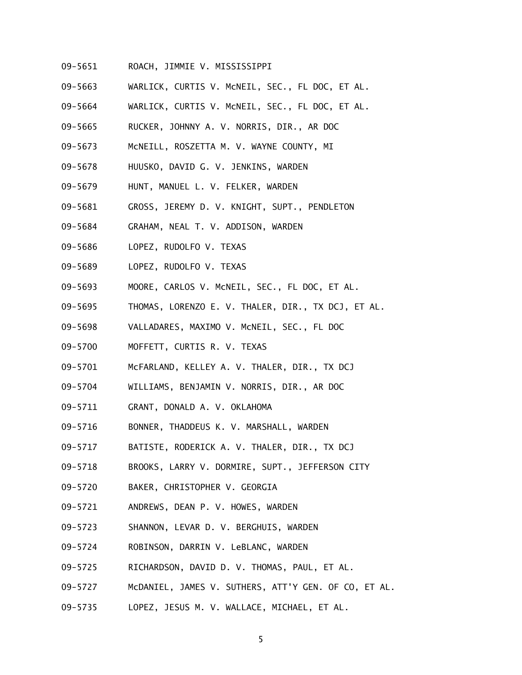- 09-5651 ROACH, JIMMIE V. MISSISSIPPI
- 09-5663 WARLICK, CURTIS V. McNEIL, SEC., FL DOC, ET AL.
- 09-5664 WARLICK, CURTIS V. McNEIL, SEC., FL DOC, ET AL.
- 09-5665 RUCKER, JOHNNY A. V. NORRIS, DIR., AR DOC
- 09-5673 McNEILL, ROSZETTA M. V. WAYNE COUNTY, MI
- 09-5678 HUUSKO, DAVID G. V. JENKINS, WARDEN
- 09-5679 HUNT, MANUEL L. V. FELKER, WARDEN
- 09-5681 GROSS, JEREMY D. V. KNIGHT, SUPT., PENDLETON
- 09-5684 GRAHAM, NEAL T. V. ADDISON, WARDEN
- 09-5686 LOPEZ, RUDOLFO V. TEXAS
- 09-5689 LOPEZ, RUDOLFO V. TEXAS
- 09-5693 MOORE, CARLOS V. McNEIL, SEC., FL DOC, ET AL.
- 09-5695 THOMAS, LORENZO E. V. THALER, DIR., TX DCJ, ET AL.
- 09-5698 VALLADARES, MAXIMO V. McNEIL, SEC., FL DOC
- 09-5700 MOFFETT, CURTIS R. V. TEXAS
- 09-5701 McFARLAND, KELLEY A. V. THALER, DIR., TX DCJ
- 09-5704 WILLIAMS, BENJAMIN V. NORRIS, DIR., AR DOC
- 09-5711 GRANT, DONALD A. V. OKLAHOMA
- 09-5716 BONNER, THADDEUS K. V. MARSHALL, WARDEN
- 09-5717 BATISTE, RODERICK A. V. THALER, DIR., TX DCJ
- 09-5718 BROOKS, LARRY V. DORMIRE, SUPT., JEFFERSON CITY
- 09-5720 BAKER, CHRISTOPHER V. GEORGIA
- 09-5721 ANDREWS, DEAN P. V. HOWES, WARDEN
- 09-5723 SHANNON, LEVAR D. V. BERGHUIS, WARDEN
- 09-5724 ROBINSON, DARRIN V. LeBLANC, WARDEN
- 09-5725 RICHARDSON, DAVID D. V. THOMAS, PAUL, ET AL.
- 09-5727 McDANIEL, JAMES V. SUTHERS, ATT'Y GEN. OF CO, ET AL.
- 09-5735 LOPEZ, JESUS M. V. WALLACE, MICHAEL, ET AL.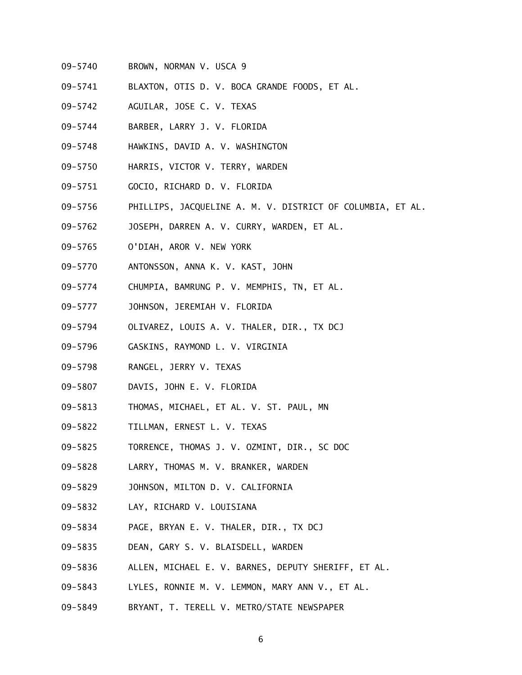- 09-5740 BROWN, NORMAN V. USCA 9
- 09-5741 BLAXTON, OTIS D. V. BOCA GRANDE FOODS, ET AL.
- 09-5742 AGUILAR, JOSE C. V. TEXAS
- 09-5744 BARBER, LARRY J. V. FLORIDA
- 09-5748 HAWKINS, DAVID A. V. WASHINGTON
- 09-5750 HARRIS, VICTOR V. TERRY, WARDEN
- 09-5751 GOCIO, RICHARD D. V. FLORIDA
- 09-5756 PHILLIPS, JACQUELINE A. M. V. DISTRICT OF COLUMBIA, ET AL.
- 09-5762 JOSEPH, DARREN A. V. CURRY, WARDEN, ET AL.
- 09-5765 O'DIAH, AROR V. NEW YORK
- 09-5770 ANTONSSON, ANNA K. V. KAST, JOHN
- 09-5774 CHUMPIA, BAMRUNG P. V. MEMPHIS, TN, ET AL.
- 09-5777 JOHNSON, JEREMIAH V. FLORIDA
- 09-5794 OLIVAREZ, LOUIS A. V. THALER, DIR., TX DCJ
- 09-5796 GASKINS, RAYMOND L. V. VIRGINIA
- 09-5798 RANGEL, JERRY V. TEXAS
- 09-5807 DAVIS, JOHN E. V. FLORIDA
- 09-5813 THOMAS, MICHAEL, ET AL. V. ST. PAUL, MN
- 09-5822 TILLMAN, ERNEST L. V. TEXAS
- 09-5825 TORRENCE, THOMAS J. V. OZMINT, DIR., SC DOC
- 09-5828 LARRY, THOMAS M. V. BRANKER, WARDEN
- 09-5829 JOHNSON, MILTON D. V. CALIFORNIA
- 09-5832 LAY, RICHARD V. LOUISIANA
- 09-5834 PAGE, BRYAN E. V. THALER, DIR., TX DCJ
- 09-5835 DEAN, GARY S. V. BLAISDELL, WARDEN
- 09-5836 ALLEN, MICHAEL E. V. BARNES, DEPUTY SHERIFF, ET AL.
- 09-5843 LYLES, RONNIE M. V. LEMMON, MARY ANN V., ET AL.
- 09-5849 BRYANT, T. TERELL V. METRO/STATE NEWSPAPER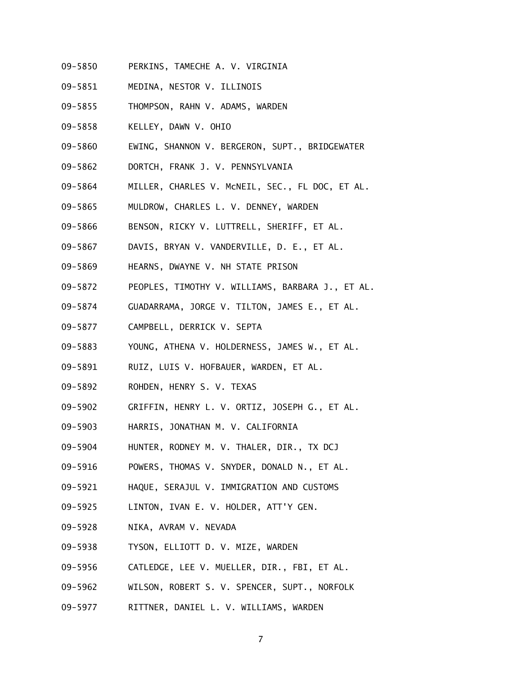- 09-5850 PERKINS, TAMECHE A. V. VIRGINIA
- 09-5851 MEDINA, NESTOR V. ILLINOIS
- 09-5855 THOMPSON, RAHN V. ADAMS, WARDEN
- 09-5858 KELLEY, DAWN V. OHIO
- 09-5860 EWING, SHANNON V. BERGERON, SUPT., BRIDGEWATER
- 09-5862 DORTCH, FRANK J. V. PENNSYLVANIA
- 09-5864 MILLER, CHARLES V. McNEIL, SEC., FL DOC, ET AL.
- 09-5865 MULDROW, CHARLES L. V. DENNEY, WARDEN
- 09-5866 BENSON, RICKY V. LUTTRELL, SHERIFF, ET AL.
- 09-5867 DAVIS, BRYAN V. VANDERVILLE, D. E., ET AL.
- 09-5869 HEARNS, DWAYNE V. NH STATE PRISON
- 09-5872 PEOPLES, TIMOTHY V. WILLIAMS, BARBARA J., ET AL.
- 09-5874 GUADARRAMA, JORGE V. TILTON, JAMES E., ET AL.
- 09-5877 CAMPBELL, DERRICK V. SEPTA
- 09-5883 YOUNG, ATHENA V. HOLDERNESS, JAMES W., ET AL.
- 09-5891 RUIZ, LUIS V. HOFBAUER, WARDEN, ET AL.
- 09-5892 ROHDEN, HENRY S. V. TEXAS
- 09-5902 GRIFFIN, HENRY L. V. ORTIZ, JOSEPH G., ET AL.
- 09-5903 HARRIS, JONATHAN M. V. CALIFORNIA
- 09-5904 HUNTER, RODNEY M. V. THALER, DIR., TX DCJ
- 09-5916 POWERS, THOMAS V. SNYDER, DONALD N., ET AL.
- 09-5921 HAQUE, SERAJUL V. IMMIGRATION AND CUSTOMS
- 09-5925 LINTON, IVAN E. V. HOLDER, ATT'Y GEN.
- 09-5928 NIKA, AVRAM V. NEVADA
- 09-5938 TYSON, ELLIOTT D. V. MIZE, WARDEN
- 09-5956 CATLEDGE, LEE V. MUELLER, DIR., FBI, ET AL.
- 09-5962 WILSON, ROBERT S. V. SPENCER, SUPT., NORFOLK
- 09-5977 RITTNER, DANIEL L. V. WILLIAMS, WARDEN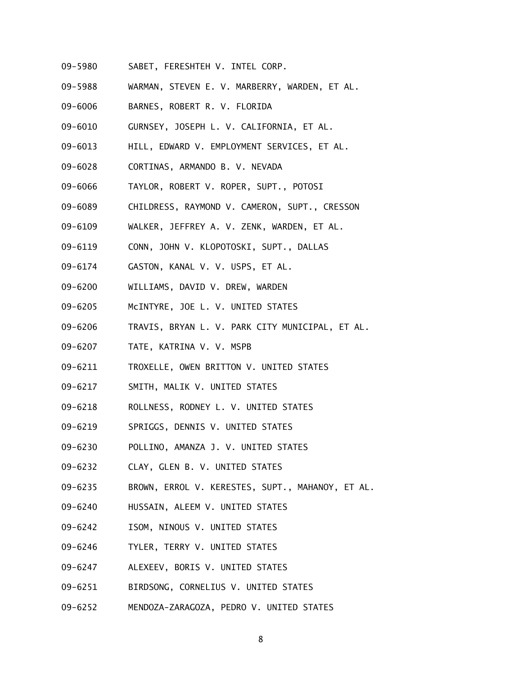- 09-5980 SABET, FERESHTEH V. INTEL CORP.
- 09-5988 WARMAN, STEVEN E. V. MARBERRY, WARDEN, ET AL.
- 09-6006 BARNES, ROBERT R. V. FLORIDA
- 09-6010 GURNSEY, JOSEPH L. V. CALIFORNIA, ET AL.
- 09-6013 HILL, EDWARD V. EMPLOYMENT SERVICES, ET AL.
- 09-6028 CORTINAS, ARMANDO B. V. NEVADA
- 09-6066 TAYLOR, ROBERT V. ROPER, SUPT., POTOSI
- 09-6089 CHILDRESS, RAYMOND V. CAMERON, SUPT., CRESSON
- 09-6109 WALKER, JEFFREY A. V. ZENK, WARDEN, ET AL.
- 09-6119 CONN, JOHN V. KLOPOTOSKI, SUPT., DALLAS
- 09-6174 GASTON, KANAL V. V. USPS, ET AL.
- 09-6200 WILLIAMS, DAVID V. DREW, WARDEN
- 09-6205 McINTYRE, JOE L. V. UNITED STATES
- 09-6206 TRAVIS, BRYAN L. V. PARK CITY MUNICIPAL, ET AL.
- 09-6207 TATE, KATRINA V. V. MSPB
- 09-6211 TROXELLE, OWEN BRITTON V. UNITED STATES
- 09-6217 SMITH, MALIK V. UNITED STATES
- 09-6218 ROLLNESS, RODNEY L. V. UNITED STATES
- 09-6219 SPRIGGS, DENNIS V. UNITED STATES
- 09-6230 POLLINO, AMANZA J. V. UNITED STATES
- 09-6232 CLAY, GLEN B. V. UNITED STATES
- 09-6235 BROWN, ERROL V. KERESTES, SUPT., MAHANOY, ET AL.
- 09-6240 HUSSAIN, ALEEM V. UNITED STATES
- 09-6242 ISOM, NINOUS V. UNITED STATES
- 09-6246 TYLER, TERRY V. UNITED STATES
- 09-6247 ALEXEEV, BORIS V. UNITED STATES
- 09-6251 BIRDSONG, CORNELIUS V. UNITED STATES
- 09-6252 MENDOZA-ZARAGOZA, PEDRO V. UNITED STATES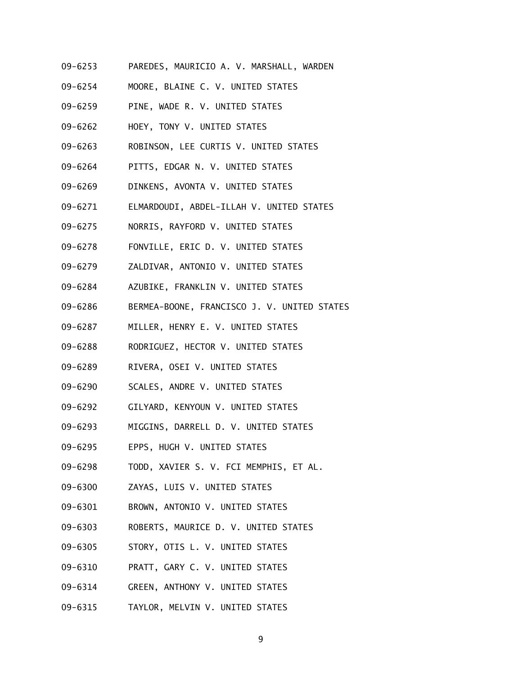- 09-6253 PAREDES, MAURICIO A. V. MARSHALL, WARDEN
- 09-6254 MOORE, BLAINE C. V. UNITED STATES
- 09-6259 PINE, WADE R. V. UNITED STATES
- 09-6262 HOEY, TONY V. UNITED STATES
- 09-6263 ROBINSON, LEE CURTIS V. UNITED STATES
- 09-6264 PITTS, EDGAR N. V. UNITED STATES
- 09-6269 DINKENS, AVONTA V. UNITED STATES
- 09-6271 ELMARDOUDI, ABDEL-ILLAH V. UNITED STATES
- 09-6275 NORRIS, RAYFORD V. UNITED STATES
- 09-6278 FONVILLE, ERIC D. V. UNITED STATES
- 09-6279 ZALDIVAR, ANTONIO V. UNITED STATES
- 09-6284 AZUBIKE, FRANKLIN V. UNITED STATES
- 09-6286 BERMEA-BOONE, FRANCISCO J. V. UNITED STATES
- 09-6287 MILLER, HENRY E. V. UNITED STATES
- 09-6288 RODRIGUEZ, HECTOR V. UNITED STATES
- 09-6289 RIVERA, OSEI V. UNITED STATES
- 09-6290 SCALES, ANDRE V. UNITED STATES
- 09-6292 GILYARD, KENYOUN V. UNITED STATES
- 09-6293 MIGGINS, DARRELL D. V. UNITED STATES
- 09-6295 EPPS, HUGH V. UNITED STATES
- 09-6298 TODD, XAVIER S. V. FCI MEMPHIS, ET AL.
- 09-6300 ZAYAS, LUIS V. UNITED STATES
- 09-6301 BROWN, ANTONIO V. UNITED STATES
- 09-6303 ROBERTS, MAURICE D. V. UNITED STATES
- 09-6305 STORY, OTIS L. V. UNITED STATES
- 09-6310 PRATT, GARY C. V. UNITED STATES
- 09-6314 GREEN, ANTHONY V. UNITED STATES
- 09-6315 TAYLOR, MELVIN V. UNITED STATES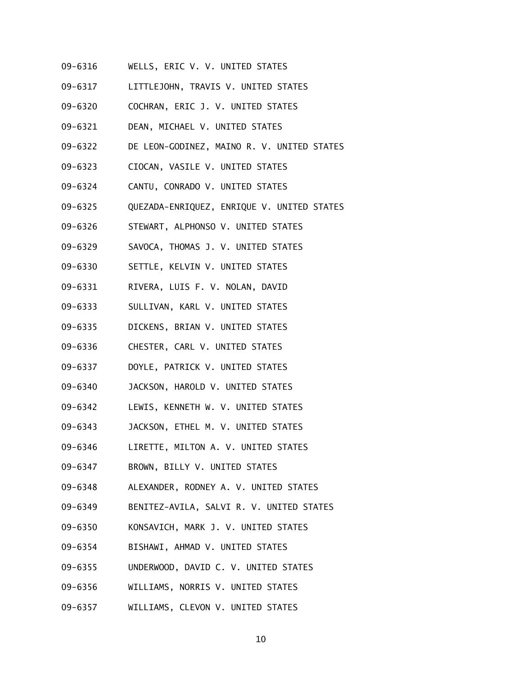- 09-6316 WELLS, ERIC V. V. UNITED STATES
- 09-6317 LITTLEJOHN, TRAVIS V. UNITED STATES
- 09-6320 COCHRAN, ERIC J. V. UNITED STATES
- 09-6321 DEAN, MICHAEL V. UNITED STATES
- 09-6322 DE LEON-GODINEZ, MAINO R. V. UNITED STATES
- 09-6323 CIOCAN, VASILE V. UNITED STATES
- 09-6324 CANTU, CONRADO V. UNITED STATES
- 09-6325 QUEZADA-ENRIQUEZ, ENRIQUE V. UNITED STATES
- 09-6326 STEWART, ALPHONSO V. UNITED STATES
- 09-6329 SAVOCA, THOMAS J. V. UNITED STATES
- 09-6330 SETTLE, KELVIN V. UNITED STATES
- 09-6331 RIVERA, LUIS F. V. NOLAN, DAVID
- 09-6333 SULLIVAN, KARL V. UNITED STATES
- 09-6335 DICKENS, BRIAN V. UNITED STATES
- 09-6336 CHESTER, CARL V. UNITED STATES
- 09-6337 DOYLE, PATRICK V. UNITED STATES
- 09-6340 JACKSON, HAROLD V. UNITED STATES
- 09-6342 LEWIS, KENNETH W. V. UNITED STATES
- 09-6343 JACKSON, ETHEL M. V. UNITED STATES
- 09-6346 LIRETTE, MILTON A. V. UNITED STATES
- 09-6347 BROWN, BILLY V. UNITED STATES
- 09-6348 ALEXANDER, RODNEY A. V. UNITED STATES
- 09-6349 BENITEZ-AVILA, SALVI R. V. UNITED STATES
- 09-6350 KONSAVICH, MARK J. V. UNITED STATES
- 09-6354 BISHAWI, AHMAD V. UNITED STATES
- 09-6355 UNDERWOOD, DAVID C. V. UNITED STATES
- 09-6356 WILLIAMS, NORRIS V. UNITED STATES
- 09-6357 WILLIAMS, CLEVON V. UNITED STATES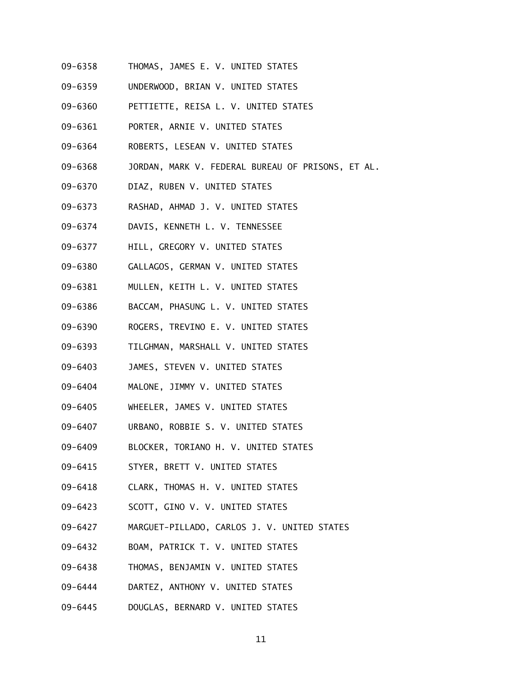- 09-6358 THOMAS, JAMES E. V. UNITED STATES
- 09-6359 UNDERWOOD, BRIAN V. UNITED STATES
- 09-6360 PETTIETTE, REISA L. V. UNITED STATES
- 09-6361 PORTER, ARNIE V. UNITED STATES
- 09-6364 ROBERTS, LESEAN V. UNITED STATES
- 09-6368 JORDAN, MARK V. FEDERAL BUREAU OF PRISONS, ET AL.
- 09-6370 DIAZ, RUBEN V. UNITED STATES
- 09-6373 RASHAD, AHMAD J. V. UNITED STATES
- 09-6374 DAVIS, KENNETH L. V. TENNESSEE
- 09-6377 HILL, GREGORY V. UNITED STATES
- 09-6380 GALLAGOS, GERMAN V. UNITED STATES
- 09-6381 MULLEN, KEITH L. V. UNITED STATES
- 09-6386 BACCAM, PHASUNG L. V. UNITED STATES
- 09-6390 ROGERS, TREVINO E. V. UNITED STATES
- 09-6393 TILGHMAN, MARSHALL V. UNITED STATES
- 09-6403 JAMES, STEVEN V. UNITED STATES
- 09-6404 MALONE, JIMMY V. UNITED STATES
- 09-6405 WHEELER, JAMES V. UNITED STATES
- 09-6407 URBANO, ROBBIE S. V. UNITED STATES
- 09-6409 BLOCKER, TORIANO H. V. UNITED STATES
- 09-6415 STYER, BRETT V. UNITED STATES
- 09-6418 CLARK, THOMAS H. V. UNITED STATES
- 09-6423 SCOTT, GINO V. V. UNITED STATES
- 09-6427 MARGUET-PILLADO, CARLOS J. V. UNITED STATES
- 09-6432 BOAM, PATRICK T. V. UNITED STATES
- 09-6438 THOMAS, BENJAMIN V. UNITED STATES
- 09-6444 DARTEZ, ANTHONY V. UNITED STATES
- 09-6445 DOUGLAS, BERNARD V. UNITED STATES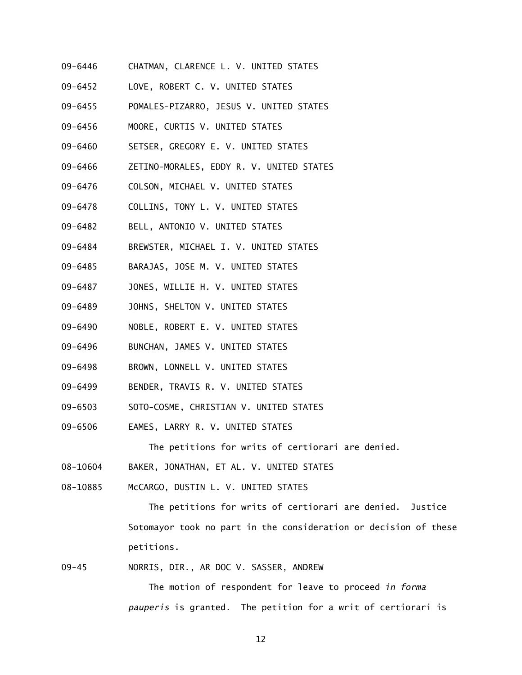- 09-6446 CHATMAN, CLARENCE L. V. UNITED STATES
- 09-6452 LOVE, ROBERT C. V. UNITED STATES
- 09-6455 POMALES-PIZARRO, JESUS V. UNITED STATES
- 09-6456 MOORE, CURTIS V. UNITED STATES
- 09-6460 SETSER, GREGORY E. V. UNITED STATES
- 09-6466 ZETINO-MORALES, EDDY R. V. UNITED STATES
- 09-6476 COLSON, MICHAEL V. UNITED STATES
- 09-6478 COLLINS, TONY L. V. UNITED STATES
- 09-6482 BELL, ANTONIO V. UNITED STATES
- 09-6484 BREWSTER, MICHAEL I. V. UNITED STATES
- 09-6485 BARAJAS, JOSE M. V. UNITED STATES
- 09-6487 JONES, WILLIE H. V. UNITED STATES
- 09-6489 JOHNS, SHELTON V. UNITED STATES
- 09-6490 NOBLE, ROBERT E. V. UNITED STATES
- 09-6496 BUNCHAN, JAMES V. UNITED STATES
- 09-6498 BROWN, LONNELL V. UNITED STATES
- 09-6499 BENDER, TRAVIS R. V. UNITED STATES
- 09-6503 SOTO-COSME, CHRISTIAN V. UNITED STATES
- 09-6506 EAMES, LARRY R. V. UNITED STATES

The petitions for writs of certiorari are denied.

- 08-10604 BAKER, JONATHAN, ET AL. V. UNITED STATES
- 08-10885 McCARGO, DUSTIN L. V. UNITED STATES

 The petitions for writs of certiorari are denied. Justice Sotomayor took no part in the consideration or decision of these petitions.

09-45 NORRIS, DIR., AR DOC V. SASSER, ANDREW

 The motion of respondent for leave to proceed *in forma pauperis* is granted. The petition for a writ of certiorari is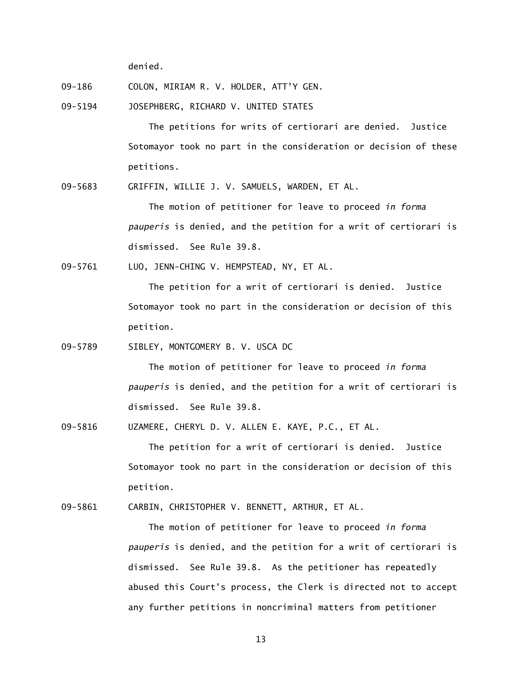denied.

- 09-186 COLON, MIRIAM R. V. HOLDER, ATT'Y GEN.
- 09-5194 JOSEPHBERG, RICHARD V. UNITED STATES

 The petitions for writs of certiorari are denied. Justice Sotomayor took no part in the consideration or decision of these petitions.

09-5683 GRIFFIN, WILLIE J. V. SAMUELS, WARDEN, ET AL.

 The motion of petitioner for leave to proceed *in forma pauperis* is denied, and the petition for a writ of certiorari is dismissed. See Rule 39.8.

09-5761 LUO, JENN-CHING V. HEMPSTEAD, NY, ET AL.

 The petition for a writ of certiorari is denied. Justice Sotomayor took no part in the consideration or decision of this petition.

09-5789 SIBLEY, MONTGOMERY B. V. USCA DC

 The motion of petitioner for leave to proceed *in forma pauperis* is denied, and the petition for a writ of certiorari is dismissed. See Rule 39.8.

09-5816 UZAMERE, CHERYL D. V. ALLEN E. KAYE, P.C., ET AL.

 The petition for a writ of certiorari is denied. Justice Sotomayor took no part in the consideration or decision of this petition.

09-5861 CARBIN, CHRISTOPHER V. BENNETT, ARTHUR, ET AL.

 The motion of petitioner for leave to proceed *in forma pauperis* is denied, and the petition for a writ of certiorari is dismissed. See Rule 39.8. As the petitioner has repeatedly abused this Court's process, the Clerk is directed not to accept any further petitions in noncriminal matters from petitioner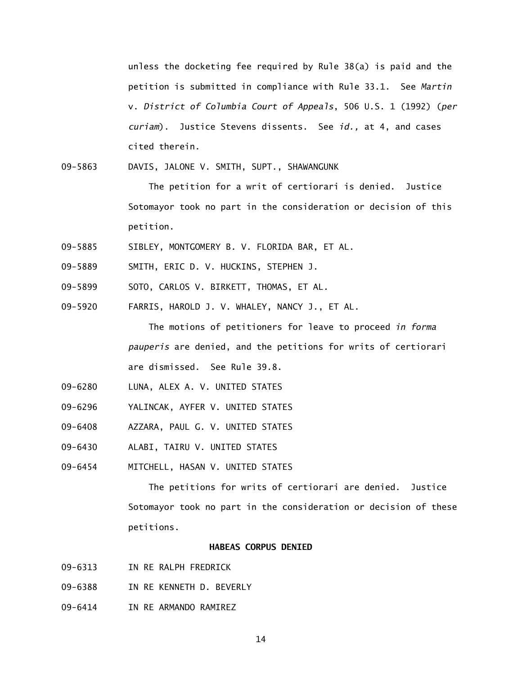unless the docketing fee required by Rule 38(a) is paid and the petition is submitted in compliance with Rule 33.1. See *Martin*  v. *District of Columbia Court of Appeals*, 506 U.S. 1 (1992) (*per curiam*). Justice Stevens dissents. See *id.,* at 4, and cases cited therein.

09-5863 DAVIS, JALONE V. SMITH, SUPT., SHAWANGUNK

 The petition for a writ of certiorari is denied. Justice Sotomayor took no part in the consideration or decision of this petition.

- 09-5885 SIBLEY, MONTGOMERY B. V. FLORIDA BAR, ET AL.
- 09-5889 SMITH, ERIC D. V. HUCKINS, STEPHEN J.
- 09-5899 SOTO, CARLOS V. BIRKETT, THOMAS, ET AL.
- 09-5920 FARRIS, HAROLD J. V. WHALEY, NANCY J., ET AL.

 The motions of petitioners for leave to proceed *in forma pauperis* are denied, and the petitions for writs of certiorari are dismissed. See Rule 39.8.

- 09-6280 LUNA, ALEX A. V. UNITED STATES
- 09-6296 YALINCAK, AYFER V. UNITED STATES
- 09-6408 AZZARA, PAUL G. V. UNITED STATES
- 09-6430 ALABI, TAIRU V. UNITED STATES
- 09-6454 MITCHELL, HASAN V. UNITED STATES

 The petitions for writs of certiorari are denied. Justice Sotomayor took no part in the consideration or decision of these petitions.

### **HABEAS CORPUS DENIED**

- 09-6313 IN RE RALPH FREDRICK
- 09-6388 IN RE KENNETH D. BEVERLY
- 09-6414 IN RE ARMANDO RAMIREZ